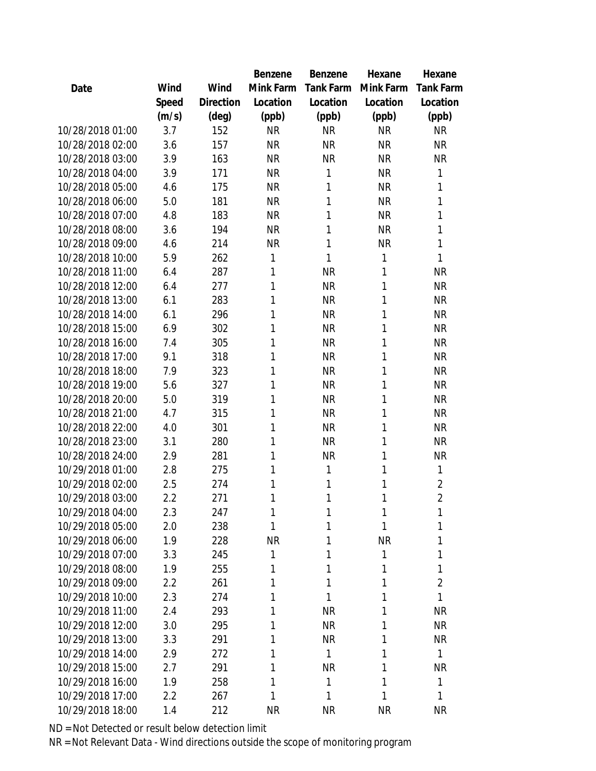|                  |       |           | Benzene   | Benzene   | Hexane    | Hexane           |
|------------------|-------|-----------|-----------|-----------|-----------|------------------|
| Date             | Wind  | Wind      | Mink Farm | Tank Farm | Mink Farm | <b>Tank Farm</b> |
|                  | Speed | Direction | Location  | Location  | Location  | Location         |
|                  | (m/s) | (deg)     | (ppb)     | (ppb)     | (ppb)     | (ppb)            |
| 10/28/2018 01:00 | 3.7   | 152       | <b>NR</b> | <b>NR</b> | <b>NR</b> | <b>NR</b>        |
| 10/28/2018 02:00 | 3.6   | 157       | <b>NR</b> | <b>NR</b> | <b>NR</b> | <b>NR</b>        |
| 10/28/2018 03:00 | 3.9   | 163       | <b>NR</b> | <b>NR</b> | <b>NR</b> | <b>NR</b>        |
| 10/28/2018 04:00 | 3.9   | 171       | <b>NR</b> | 1         | <b>NR</b> | 1                |
| 10/28/2018 05:00 | 4.6   | 175       | <b>NR</b> | 1         | <b>NR</b> | 1                |
| 10/28/2018 06:00 | 5.0   | 181       | <b>NR</b> | 1         | <b>NR</b> | 1                |
| 10/28/2018 07:00 | 4.8   | 183       | <b>NR</b> | 1         | <b>NR</b> | 1                |
| 10/28/2018 08:00 | 3.6   | 194       | <b>NR</b> | 1         | <b>NR</b> | 1                |
| 10/28/2018 09:00 | 4.6   | 214       | <b>NR</b> | 1         | <b>NR</b> | 1                |
| 10/28/2018 10:00 | 5.9   | 262       | 1         | 1         | 1         | 1                |
| 10/28/2018 11:00 | 6.4   | 287       | 1         | <b>NR</b> | 1         | <b>NR</b>        |
| 10/28/2018 12:00 | 6.4   | 277       | 1         | <b>NR</b> | 1         | <b>NR</b>        |
| 10/28/2018 13:00 | 6.1   | 283       | 1         | <b>NR</b> | 1         | <b>NR</b>        |
| 10/28/2018 14:00 | 6.1   | 296       | 1         | <b>NR</b> | 1         | <b>NR</b>        |
| 10/28/2018 15:00 | 6.9   | 302       | 1         | <b>NR</b> | 1         | <b>NR</b>        |
| 10/28/2018 16:00 | 7.4   | 305       | 1         | <b>NR</b> | 1         | <b>NR</b>        |
| 10/28/2018 17:00 | 9.1   | 318       | 1         | <b>NR</b> | 1         | <b>NR</b>        |
| 10/28/2018 18:00 | 7.9   | 323       | 1         | <b>NR</b> | 1         | <b>NR</b>        |
| 10/28/2018 19:00 | 5.6   | 327       | 1         | <b>NR</b> | 1         | <b>NR</b>        |
| 10/28/2018 20:00 | 5.0   | 319       | 1         | <b>NR</b> | 1         | <b>NR</b>        |
| 10/28/2018 21:00 | 4.7   | 315       | 1         | <b>NR</b> | 1         | <b>NR</b>        |
| 10/28/2018 22:00 | 4.0   | 301       | 1         | <b>NR</b> | 1         | <b>NR</b>        |
| 10/28/2018 23:00 | 3.1   | 280       | 1         | <b>NR</b> | 1         | <b>NR</b>        |
| 10/28/2018 24:00 | 2.9   | 281       | 1         | <b>NR</b> | 1         | <b>NR</b>        |
| 10/29/2018 01:00 | 2.8   | 275       | 1         | 1         | 1         | 1                |
| 10/29/2018 02:00 | 2.5   | 274       | 1         | 1         | 1         | $\overline{2}$   |
| 10/29/2018 03:00 | 2.2   | 271       | 1         | 1         | 1         | $\overline{2}$   |
| 10/29/2018 04:00 | 2.3   | 247       | 1         | 1         | 1         | 1                |
| 10/29/2018 05:00 | 2.0   | 238       | 1         | 1         | 1         | 1                |
| 10/29/2018 06:00 | 1.9   | 228       | <b>NR</b> | 1         | <b>NR</b> | 1                |
| 10/29/2018 07:00 | 3.3   | 245       | 1         | 1         | 1         | 1                |
| 10/29/2018 08:00 | 1.9   | 255       | 1         | 1         | 1         | 1                |
| 10/29/2018 09:00 | 2.2   | 261       | 1         | 1         | 1         | $\overline{2}$   |
| 10/29/2018 10:00 | 2.3   | 274       | 1         | 1         | Τ         | $\mathbf{1}$     |
| 10/29/2018 11:00 | 2.4   | 293       | 1         | <b>NR</b> | 1         | <b>NR</b>        |
| 10/29/2018 12:00 | 3.0   | 295       | 1         | <b>NR</b> | 1         | <b>NR</b>        |
| 10/29/2018 13:00 | 3.3   | 291       | 1         | <b>NR</b> | 1         | <b>NR</b>        |
| 10/29/2018 14:00 | 2.9   | 272       | 1         | 1         | 1         | $\mathbf{1}$     |
| 10/29/2018 15:00 | 2.7   | 291       | 1         | <b>NR</b> | 1         | <b>NR</b>        |
| 10/29/2018 16:00 | 1.9   | 258       | 1         | 1         | 1         | 1                |
| 10/29/2018 17:00 | 2.2   | 267       | 1         | 1         | 1         | 1                |
| 10/29/2018 18:00 | 1.4   | 212       | <b>NR</b> | <b>NR</b> | <b>NR</b> | <b>NR</b>        |
|                  |       |           |           |           |           |                  |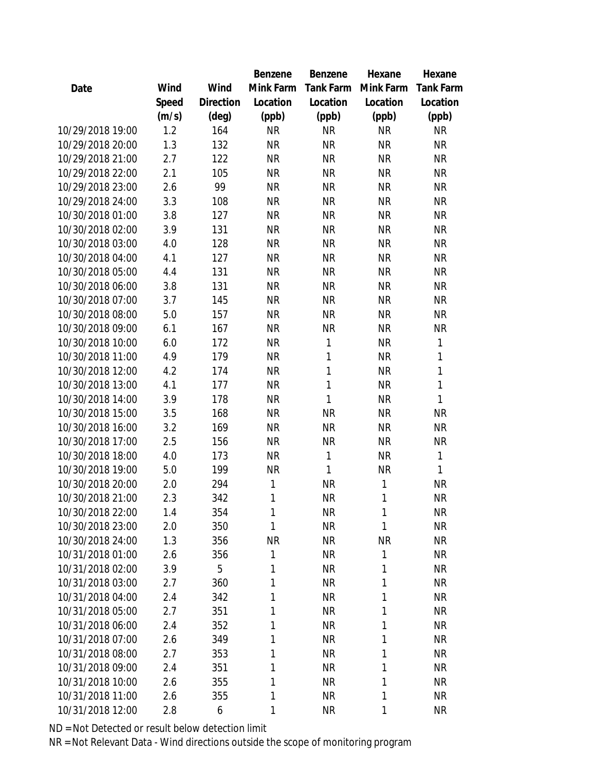|                  |       |           | Benzene      | Benzene   | Hexane       | Hexane           |
|------------------|-------|-----------|--------------|-----------|--------------|------------------|
| Date             | Wind  | Wind      | Mink Farm    | Tank Farm | Mink Farm    | <b>Tank Farm</b> |
|                  | Speed | Direction | Location     | Location  | Location     | Location         |
|                  | (m/s) | (deg)     | (ppb)        | (ppb)     | (ppb)        | (ppb)            |
| 10/29/2018 19:00 | 1.2   | 164       | <b>NR</b>    | <b>NR</b> | <b>NR</b>    | <b>NR</b>        |
| 10/29/2018 20:00 | 1.3   | 132       | <b>NR</b>    | <b>NR</b> | <b>NR</b>    | <b>NR</b>        |
| 10/29/2018 21:00 | 2.7   | 122       | <b>NR</b>    | <b>NR</b> | <b>NR</b>    | <b>NR</b>        |
| 10/29/2018 22:00 | 2.1   | 105       | <b>NR</b>    | <b>NR</b> | <b>NR</b>    | <b>NR</b>        |
| 10/29/2018 23:00 | 2.6   | 99        | <b>NR</b>    | <b>NR</b> | <b>NR</b>    | <b>NR</b>        |
| 10/29/2018 24:00 | 3.3   | 108       | <b>NR</b>    | <b>NR</b> | <b>NR</b>    | <b>NR</b>        |
| 10/30/2018 01:00 | 3.8   | 127       | <b>NR</b>    | <b>NR</b> | <b>NR</b>    | <b>NR</b>        |
| 10/30/2018 02:00 | 3.9   | 131       | <b>NR</b>    | <b>NR</b> | <b>NR</b>    | <b>NR</b>        |
| 10/30/2018 03:00 | 4.0   | 128       | <b>NR</b>    | <b>NR</b> | <b>NR</b>    | <b>NR</b>        |
| 10/30/2018 04:00 | 4.1   | 127       | <b>NR</b>    | <b>NR</b> | <b>NR</b>    | <b>NR</b>        |
| 10/30/2018 05:00 | 4.4   | 131       | <b>NR</b>    | <b>NR</b> | <b>NR</b>    | <b>NR</b>        |
| 10/30/2018 06:00 | 3.8   | 131       | <b>NR</b>    | <b>NR</b> | <b>NR</b>    | <b>NR</b>        |
| 10/30/2018 07:00 | 3.7   | 145       | <b>NR</b>    | <b>NR</b> | <b>NR</b>    | <b>NR</b>        |
| 10/30/2018 08:00 | 5.0   | 157       | <b>NR</b>    | <b>NR</b> | <b>NR</b>    | <b>NR</b>        |
| 10/30/2018 09:00 | 6.1   | 167       | <b>NR</b>    | <b>NR</b> | <b>NR</b>    | <b>NR</b>        |
| 10/30/2018 10:00 | 6.0   | 172       | <b>NR</b>    | 1         | <b>NR</b>    | 1                |
| 10/30/2018 11:00 | 4.9   | 179       | <b>NR</b>    | 1         | <b>NR</b>    | 1                |
| 10/30/2018 12:00 | 4.2   | 174       | <b>NR</b>    | 1         | <b>NR</b>    | $\mathbf{1}$     |
| 10/30/2018 13:00 | 4.1   | 177       | <b>NR</b>    | 1         | <b>NR</b>    | $\mathbf{1}$     |
| 10/30/2018 14:00 | 3.9   | 178       | <b>NR</b>    | 1         | <b>NR</b>    | 1                |
| 10/30/2018 15:00 | 3.5   | 168       | <b>NR</b>    | <b>NR</b> | <b>NR</b>    | <b>NR</b>        |
| 10/30/2018 16:00 | 3.2   | 169       | <b>NR</b>    | <b>NR</b> | <b>NR</b>    | <b>NR</b>        |
| 10/30/2018 17:00 | 2.5   | 156       | <b>NR</b>    | <b>NR</b> | <b>NR</b>    | <b>NR</b>        |
| 10/30/2018 18:00 | 4.0   | 173       | <b>NR</b>    | 1         | <b>NR</b>    | $\mathbf{1}$     |
| 10/30/2018 19:00 | 5.0   | 199       | <b>NR</b>    | 1         | <b>NR</b>    | 1                |
| 10/30/2018 20:00 | 2.0   | 294       | $\mathbf{1}$ | <b>NR</b> | $\mathbf{1}$ | <b>NR</b>        |
| 10/30/2018 21:00 | 2.3   | 342       | 1            | <b>NR</b> | 1            | <b>NR</b>        |
| 10/30/2018 22:00 | 1.4   | 354       | 1            | <b>NR</b> | 1            | <b>NR</b>        |
| 10/30/2018 23:00 | 2.0   | 350       | 1            | <b>NR</b> | 1            | <b>NR</b>        |
| 10/30/2018 24:00 | 1.3   | 356       | <b>NR</b>    | <b>NR</b> | <b>NR</b>    | <b>NR</b>        |
| 10/31/2018 01:00 | 2.6   | 356       | 1            | <b>NR</b> | 1            | <b>NR</b>        |
| 10/31/2018 02:00 | 3.9   | 5         | 1            | <b>NR</b> | 1            | <b>NR</b>        |
| 10/31/2018 03:00 | 2.7   | 360       | 1            | <b>NR</b> | $\mathbf{1}$ | NR               |
| 10/31/2018 04:00 | 2.4   | 342       | 1            | <b>NR</b> | 1            | <b>NR</b>        |
| 10/31/2018 05:00 | 2.7   | 351       | 1            | <b>NR</b> | 1            | <b>NR</b>        |
| 10/31/2018 06:00 | 2.4   | 352       | 1            | <b>NR</b> | 1            | <b>NR</b>        |
| 10/31/2018 07:00 | 2.6   | 349       | 1            | <b>NR</b> | 1            | <b>NR</b>        |
| 10/31/2018 08:00 | 2.7   | 353       | 1            | <b>NR</b> | 1            | <b>NR</b>        |
| 10/31/2018 09:00 | 2.4   | 351       | 1            | <b>NR</b> | 1            | <b>NR</b>        |
| 10/31/2018 10:00 | 2.6   | 355       | 1            | <b>NR</b> | $\mathbf{1}$ | NR.              |
| 10/31/2018 11:00 | 2.6   | 355       | 1            | <b>NR</b> | $\mathbf{1}$ | <b>NR</b>        |
| 10/31/2018 12:00 | 2.8   | 6         | 1            | <b>NR</b> | $\mathbf{1}$ | <b>NR</b>        |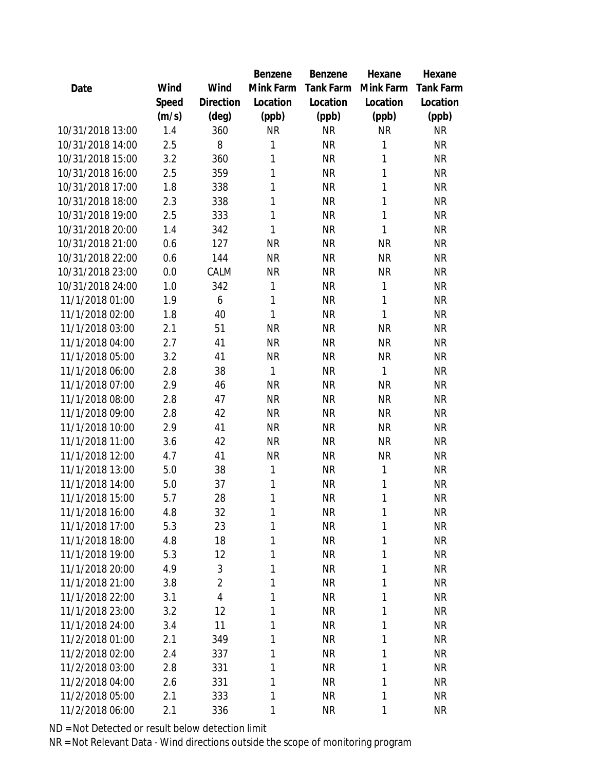|                  |       |                | Benzene   | Benzene   | Hexane    | Hexane    |
|------------------|-------|----------------|-----------|-----------|-----------|-----------|
| Date             | Wind  | Wind           | Mink Farm | Tank Farm | Mink Farm | Tank Farm |
|                  | Speed | Direction      | Location  | Location  | Location  | Location  |
|                  | (m/s) | $(\text{deg})$ | (ppb)     | (ppb)     | (ppb)     | (ppb)     |
| 10/31/2018 13:00 | 1.4   | 360            | <b>NR</b> | <b>NR</b> | <b>NR</b> | <b>NR</b> |
| 10/31/2018 14:00 | 2.5   | 8              | 1         | <b>NR</b> | 1         | <b>NR</b> |
| 10/31/2018 15:00 | 3.2   | 360            | 1         | <b>NR</b> | 1         | <b>NR</b> |
| 10/31/2018 16:00 | 2.5   | 359            | 1         | <b>NR</b> | 1         | <b>NR</b> |
| 10/31/2018 17:00 | 1.8   | 338            | 1         | <b>NR</b> | 1         | <b>NR</b> |
| 10/31/2018 18:00 | 2.3   | 338            | 1         | <b>NR</b> | 1         | <b>NR</b> |
| 10/31/2018 19:00 | 2.5   | 333            | 1         | <b>NR</b> | 1         | <b>NR</b> |
| 10/31/2018 20:00 | 1.4   | 342            | 1         | <b>NR</b> | 1         | <b>NR</b> |
| 10/31/2018 21:00 | 0.6   | 127            | <b>NR</b> | <b>NR</b> | <b>NR</b> | <b>NR</b> |
| 10/31/2018 22:00 | 0.6   | 144            | <b>NR</b> | <b>NR</b> | <b>NR</b> | <b>NR</b> |
| 10/31/2018 23:00 | 0.0   | CALM           | <b>NR</b> | <b>NR</b> | <b>NR</b> | <b>NR</b> |
| 10/31/2018 24:00 | 1.0   | 342            | 1         | <b>NR</b> | 1         | <b>NR</b> |
| 11/1/2018 01:00  | 1.9   | 6              | 1         | <b>NR</b> | 1         | <b>NR</b> |
| 11/1/2018 02:00  | 1.8   | 40             | 1         | <b>NR</b> | 1         | <b>NR</b> |
| 11/1/2018 03:00  | 2.1   | 51             | <b>NR</b> | <b>NR</b> | <b>NR</b> | <b>NR</b> |
| 11/1/2018 04:00  | 2.7   | 41             | <b>NR</b> | <b>NR</b> | <b>NR</b> | <b>NR</b> |
| 11/1/2018 05:00  | 3.2   | 41             | <b>NR</b> | <b>NR</b> | <b>NR</b> | <b>NR</b> |
| 11/1/2018 06:00  | 2.8   | 38             | 1         | <b>NR</b> | 1         | <b>NR</b> |
| 11/1/2018 07:00  | 2.9   | 46             | <b>NR</b> | <b>NR</b> | <b>NR</b> | <b>NR</b> |
| 11/1/2018 08:00  | 2.8   | 47             | <b>NR</b> | <b>NR</b> | <b>NR</b> | <b>NR</b> |
| 11/1/2018 09:00  | 2.8   | 42             | <b>NR</b> | <b>NR</b> | <b>NR</b> | <b>NR</b> |
| 11/1/2018 10:00  | 2.9   | 41             | <b>NR</b> | <b>NR</b> | <b>NR</b> | <b>NR</b> |
| 11/1/2018 11:00  | 3.6   | 42             | <b>NR</b> | <b>NR</b> | <b>NR</b> | <b>NR</b> |
| 11/1/2018 12:00  | 4.7   | 41             | <b>NR</b> | <b>NR</b> | <b>NR</b> | <b>NR</b> |
| 11/1/2018 13:00  | 5.0   | 38             | 1         | <b>NR</b> | 1         | <b>NR</b> |
| 11/1/2018 14:00  | 5.0   | 37             | 1         | <b>NR</b> | 1         | <b>NR</b> |
| 11/1/2018 15:00  | 5.7   | 28             | 1         | <b>NR</b> | 1         | <b>NR</b> |
| 11/1/2018 16:00  | 4.8   | 32             | 1         | <b>NR</b> | 1         | <b>NR</b> |
| 11/1/2018 17:00  | 5.3   | 23             | 1         | <b>NR</b> | 1         | <b>NR</b> |
| 11/1/2018 18:00  | 4.8   | 18             | 1         | <b>NR</b> | 1         | <b>NR</b> |
| 11/1/2018 19:00  | 5.3   | 12             | 1         | <b>NR</b> | 1         | <b>NR</b> |
| 11/1/2018 20:00  | 4.9   | 3              | 1         | <b>NR</b> | 1         | <b>NR</b> |
| 11/1/2018 21:00  | 3.8   | $\overline{2}$ | 1         | <b>NR</b> | 1         | <b>NR</b> |
| 11/1/2018 22:00  | 3.1   | 4              | 1         | <b>NR</b> | 1         | <b>NR</b> |
| 11/1/2018 23:00  | 3.2   | 12             | 1         | <b>NR</b> | 1         | <b>NR</b> |
| 11/1/2018 24:00  | 3.4   | 11             | 1         | <b>NR</b> | 1         | <b>NR</b> |
| 11/2/2018 01:00  | 2.1   | 349            | 1         | <b>NR</b> | 1         | <b>NR</b> |
| 11/2/2018 02:00  | 2.4   | 337            | 1         | <b>NR</b> | 1         | <b>NR</b> |
| 11/2/2018 03:00  | 2.8   | 331            | 1         | <b>NR</b> | 1         | <b>NR</b> |
| 11/2/2018 04:00  | 2.6   | 331            | 1         | <b>NR</b> | 1         | <b>NR</b> |
| 11/2/2018 05:00  | 2.1   | 333            | 1         | <b>NR</b> | 1         | <b>NR</b> |
| 11/2/2018 06:00  | 2.1   | 336            | 1         | <b>NR</b> | 1         | <b>NR</b> |